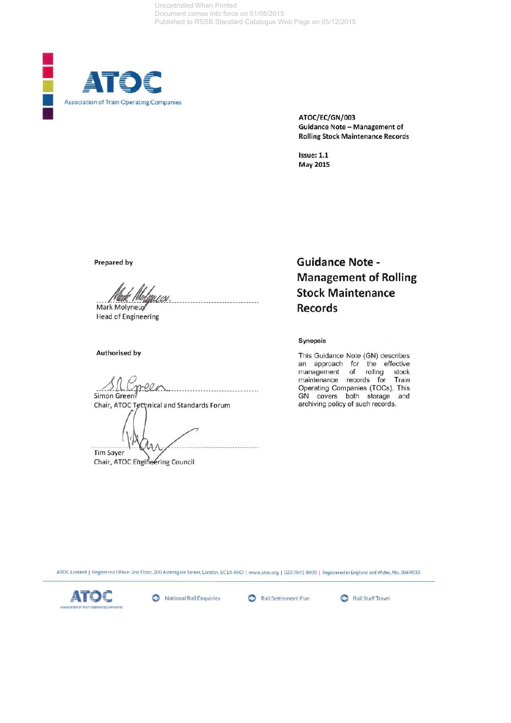

ATOC/EC/GN/003 **Guidance Note - Management of Rolling Stock Maintenance Records** 

**Issue: 1.1** May 2015

**Prepared by** 

Mark Molyneux

**Head of Engineering** 

#### Authorised by

meen ................. Simon Green

Chair, ATOC Technical and Standards Forum

**Tim Sayer** 

Chair, ATOC Engineering Council

## **Guidance Note -Management of Rolling Stock Maintenance Records**

Synopsis

This Guidance Note (GN) describes an approach for the effective management of rolling stock maintenance records for Train Operating Companies (TOCs). This GN covers both storage and<br>archiving policy of such records.

ATOC Limited | Registered Office: 2nd Floor, 200 Aldersgate Street, London, EC1A 4HD | www.atoc.org | 020 7841 8000 | Registered in England and Wales, No. 3069033



Rail Settlement Plan

Rail Staff Travel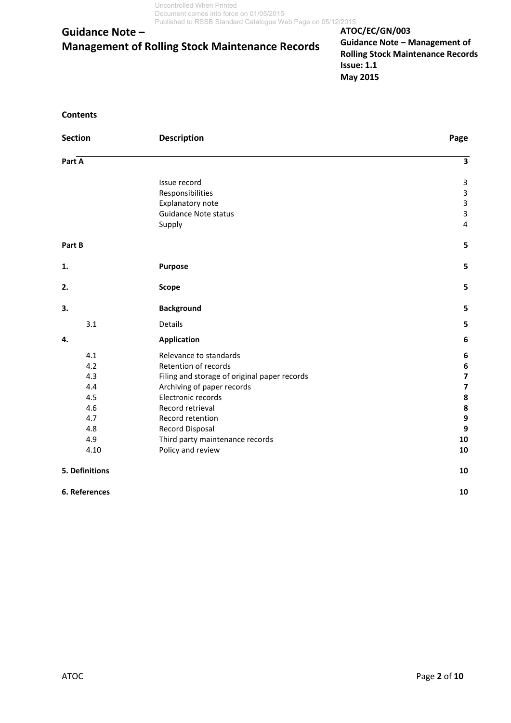# **Guidance Note – Management of Rolling Stock Maintenance Records**

**ATOC/EC/GN/003 Guidance Note – Management of Rolling Stock Maintenance Records Issue: 1.1 May 2015**

#### **Contents**

| <b>Section</b> | <b>Description</b>                           | Page                    |  |
|----------------|----------------------------------------------|-------------------------|--|
| Part A         |                                              | 3                       |  |
|                | Issue record                                 | $\mathsf 3$             |  |
|                | Responsibilities                             | $\mathsf 3$             |  |
|                | Explanatory note                             | $\mathsf 3$             |  |
|                | Guidance Note status                         | $\overline{\mathbf{3}}$ |  |
|                | Supply                                       | $\overline{4}$          |  |
| Part B         |                                              | 5                       |  |
| 1.             | Purpose                                      | 5                       |  |
| 2.             | <b>Scope</b>                                 | 5                       |  |
| 3.             | <b>Background</b>                            | 5                       |  |
| 3.1            | Details                                      | 5                       |  |
| 4.             | <b>Application</b>                           | 6                       |  |
| 4.1            | Relevance to standards                       | $\bf 6$                 |  |
| 4.2            | Retention of records                         | $\bf 6$                 |  |
| 4.3            | Filing and storage of original paper records | $\overline{\mathbf{z}}$ |  |
| 4.4            | Archiving of paper records                   | $\overline{\mathbf{z}}$ |  |
| 4.5            | Electronic records                           | 8                       |  |
| 4.6            | Record retrieval                             | $\pmb{8}$               |  |
| 4.7            | Record retention                             | $\boldsymbol{9}$        |  |
| 4.8            | Record Disposal                              | $\mathbf{9}$            |  |
| 4.9            | Third party maintenance records              | 10                      |  |
| 4.10           | Policy and review                            | 10                      |  |
| 5. Definitions |                                              | 10                      |  |

**6. References 10**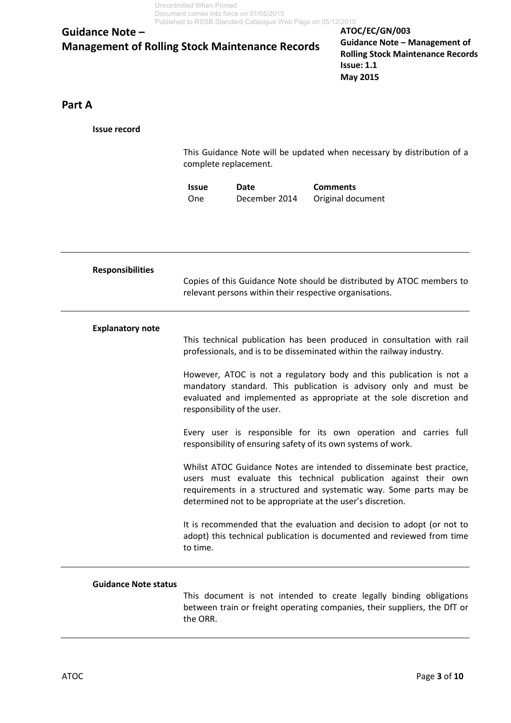|                                                                                                                                                                                            | Uncontrolled When Printed                                                                       |                                                               |                                                                                                                                            |                                                                                                                                                                                                                  |
|--------------------------------------------------------------------------------------------------------------------------------------------------------------------------------------------|-------------------------------------------------------------------------------------------------|---------------------------------------------------------------|--------------------------------------------------------------------------------------------------------------------------------------------|------------------------------------------------------------------------------------------------------------------------------------------------------------------------------------------------------------------|
| Document comes into force on 01/05/2015<br>Published to RSSB Standard Catalogue Web Page on 05/12/2015<br><b>Guidance Note -</b><br><b>Management of Rolling Stock Maintenance Records</b> |                                                                                                 |                                                               | ATOC/EC/GN/003<br><b>Guidance Note - Management of</b><br><b>Rolling Stock Maintenance Records</b><br><b>Issue: 1.1</b><br><b>May 2015</b> |                                                                                                                                                                                                                  |
| Part A                                                                                                                                                                                     |                                                                                                 |                                                               |                                                                                                                                            |                                                                                                                                                                                                                  |
| <b>Issue record</b>                                                                                                                                                                        |                                                                                                 |                                                               |                                                                                                                                            |                                                                                                                                                                                                                  |
|                                                                                                                                                                                            | This Guidance Note will be updated when necessary by distribution of a<br>complete replacement. |                                                               |                                                                                                                                            |                                                                                                                                                                                                                  |
|                                                                                                                                                                                            | <b>Issue</b><br>One                                                                             | <b>Date</b><br>December 2014                                  | <b>Comments</b>                                                                                                                            | Original document                                                                                                                                                                                                |
| <b>Responsibilities</b>                                                                                                                                                                    |                                                                                                 | relevant persons within their respective organisations.       |                                                                                                                                            | Copies of this Guidance Note should be distributed by ATOC members to                                                                                                                                            |
| <b>Explanatory note</b>                                                                                                                                                                    |                                                                                                 |                                                               |                                                                                                                                            | This technical publication has been produced in consultation with rail<br>professionals, and is to be disseminated within the railway industry.                                                                  |
|                                                                                                                                                                                            |                                                                                                 | responsibility of the user.                                   |                                                                                                                                            | However, ATOC is not a regulatory body and this publication is not a<br>mandatory standard. This publication is advisory only and must be<br>evaluated and implemented as appropriate at the sole discretion and |
|                                                                                                                                                                                            |                                                                                                 | responsibility of ensuring safety of its own systems of work. |                                                                                                                                            | Every user is responsible for its own operation and carries full                                                                                                                                                 |
|                                                                                                                                                                                            |                                                                                                 | determined not to be appropriate at the user's discretion.    |                                                                                                                                            | Whilst ATOC Guidance Notes are intended to disseminate best practice,<br>users must evaluate this technical publication against their own<br>requirements in a structured and systematic way. Some parts may be  |
|                                                                                                                                                                                            | to time.                                                                                        |                                                               |                                                                                                                                            | It is recommended that the evaluation and decision to adopt (or not to<br>adopt) this technical publication is documented and reviewed from time                                                                 |
| <b>Guidance Note status</b>                                                                                                                                                                |                                                                                                 |                                                               |                                                                                                                                            |                                                                                                                                                                                                                  |
|                                                                                                                                                                                            | the ORR.                                                                                        |                                                               |                                                                                                                                            | This document is not intended to create legally binding obligations<br>between train or freight operating companies, their suppliers, the DfT or                                                                 |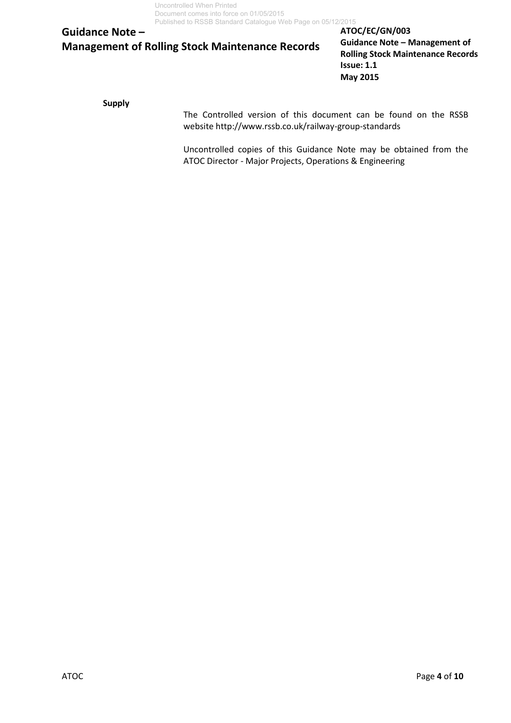**ATOC/EC/GN/003 Guidance Note – Management of Rolling Stock Maintenance Records Issue: 1.1 May 2015**

**Supply** 

The Controlled version of this document can be found on the RSSB website http://www.rssb.co.uk/railway-group-standards

Uncontrolled copies of this Guidance Note may be obtained from the ATOC Director - Major Projects, Operations & Engineering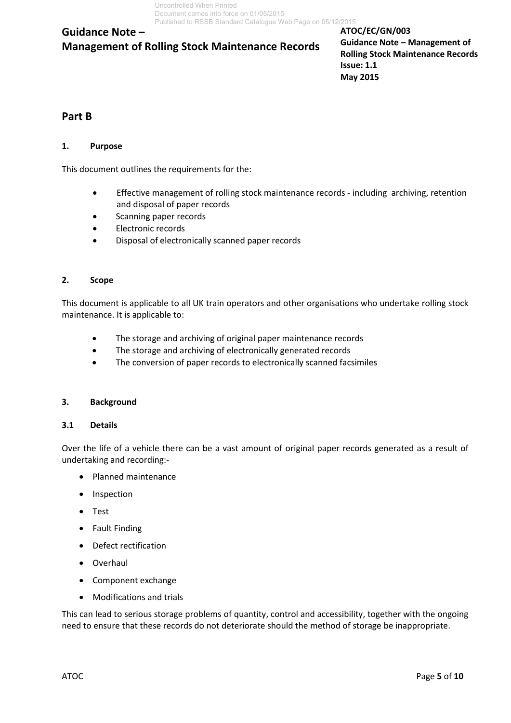## **Guidance Note – Management of Rolling Stock Maintenance Records**

**ATOC/EC/GN/003 Guidance Note – Management of Rolling Stock Maintenance Records Issue: 1.1 May 2015**

## **Part B**

## **1. Purpose**

This document outlines the requirements for the:

- Effective management of rolling stock maintenance records including archiving, retention and disposal of paper records
- Scanning paper records
- Electronic records
- Disposal of electronically scanned paper records

### **2. Scope**

This document is applicable to all UK train operators and other organisations who undertake rolling stock maintenance. It is applicable to:

- The storage and archiving of original paper maintenance records
- The storage and archiving of electronically generated records
- The conversion of paper records to electronically scanned facsimiles

## **3. Background**

### **3.1 Details**

Over the life of a vehicle there can be a vast amount of original paper records generated as a result of undertaking and recording:-

- Planned maintenance
- Inspection
- Test
- Fault Finding
- Defect rectification
- Overhaul
- Component exchange
- Modifications and trials

This can lead to serious storage problems of quantity, control and accessibility, together with the ongoing need to ensure that these records do not deteriorate should the method of storage be inappropriate.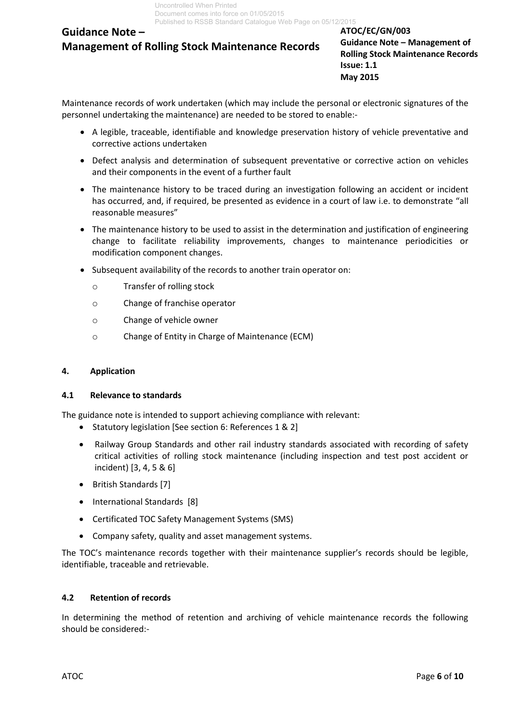**ATOC/EC/GN/003 Guidance Note – Management of Rolling Stock Maintenance Records Issue: 1.1 May 2015**

Maintenance records of work undertaken (which may include the personal or electronic signatures of the personnel undertaking the maintenance) are needed to be stored to enable:-

- A legible, traceable, identifiable and knowledge preservation history of vehicle preventative and corrective actions undertaken
- Defect analysis and determination of subsequent preventative or corrective action on vehicles and their components in the event of a further fault
- The maintenance history to be traced during an investigation following an accident or incident has occurred, and, if required, be presented as evidence in a court of law i.e. to demonstrate "all reasonable measures"
- The maintenance history to be used to assist in the determination and justification of engineering change to facilitate reliability improvements, changes to maintenance periodicities or modification component changes.
- Subsequent availability of the records to another train operator on:
	- o Transfer of rolling stock
	- o Change of franchise operator
	- o Change of vehicle owner
	- o Change of Entity in Charge of Maintenance (ECM)

## **4. Application**

### **4.1 Relevance to standards**

The guidance note is intended to support achieving compliance with relevant:

- Statutory legislation [See section 6: References 1 & 2]
- Railway Group Standards and other rail industry standards associated with recording of safety critical activities of rolling stock maintenance (including inspection and test post accident or incident) [3, 4, 5 & 6]
- British Standards [7]
- International Standards [8]
- Certificated TOC Safety Management Systems (SMS)
- Company safety, quality and asset management systems.

The TOC's maintenance records together with their maintenance supplier's records should be legible, identifiable, traceable and retrievable.

### **4.2 Retention of records**

In determining the method of retention and archiving of vehicle maintenance records the following should be considered:-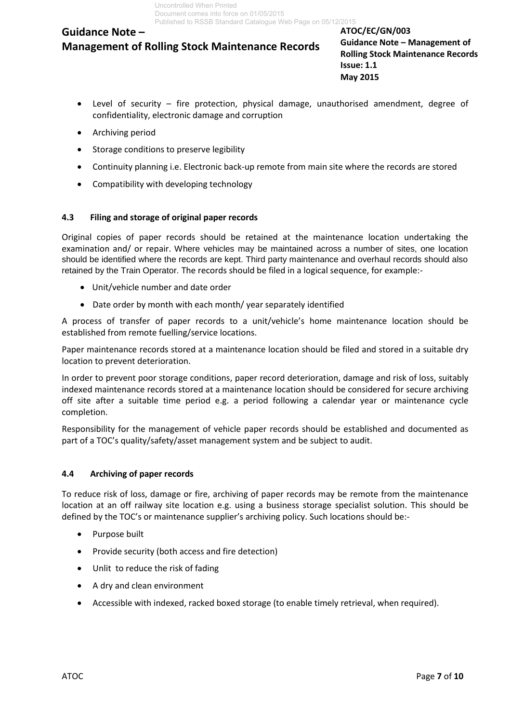**ATOC/EC/GN/003 Guidance Note – Management of Rolling Stock Maintenance Records Issue: 1.1 May 2015**

- Level of security fire protection, physical damage, unauthorised amendment, degree of confidentiality, electronic damage and corruption
- Archiving period
- Storage conditions to preserve legibility
- Continuity planning i.e. Electronic back-up remote from main site where the records are stored
- Compatibility with developing technology

## **4.3 Filing and storage of original paper records**

Original copies of paper records should be retained at the maintenance location undertaking the examination and/ or repair. Where vehicles may be maintained across a number of sites, one location should be identified where the records are kept. Third party maintenance and overhaul records should also retained by the Train Operator. The records should be filed in a logical sequence, for example:-

- Unit/vehicle number and date order
- Date order by month with each month/ year separately identified

A process of transfer of paper records to a unit/vehicle's home maintenance location should be established from remote fuelling/service locations.

Paper maintenance records stored at a maintenance location should be filed and stored in a suitable dry location to prevent deterioration.

In order to prevent poor storage conditions, paper record deterioration, damage and risk of loss, suitably indexed maintenance records stored at a maintenance location should be considered for secure archiving off site after a suitable time period e.g. a period following a calendar year or maintenance cycle completion.

Responsibility for the management of vehicle paper records should be established and documented as part of a TOC's quality/safety/asset management system and be subject to audit.

### **4.4 Archiving of paper records**

To reduce risk of loss, damage or fire, archiving of paper records may be remote from the maintenance location at an off railway site location e.g. using a business storage specialist solution. This should be defined by the TOC's or maintenance supplier's archiving policy. Such locations should be:-

- Purpose built
- Provide security (both access and fire detection)
- Unlit to reduce the risk of fading
- A dry and clean environment
- Accessible with indexed, racked boxed storage (to enable timely retrieval, when required).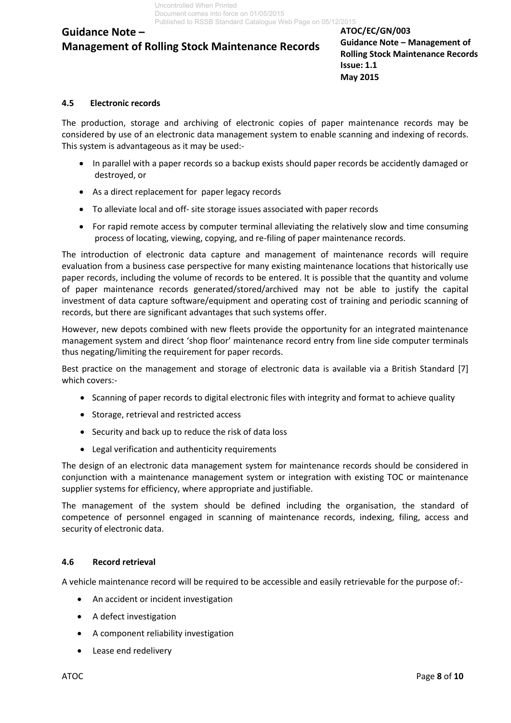**ATOC/EC/GN/003 Guidance Note – Management of Rolling Stock Maintenance Records Issue: 1.1 May 2015**

### **4.5 Electronic records**

The production, storage and archiving of electronic copies of paper maintenance records may be considered by use of an electronic data management system to enable scanning and indexing of records. This system is advantageous as it may be used:-

- In parallel with a paper records so a backup exists should paper records be accidently damaged or destroyed, or
- As a direct replacement for paper legacy records
- To alleviate local and off- site storage issues associated with paper records
- For rapid remote access by computer terminal alleviating the relatively slow and time consuming process of locating, viewing, copying, and re-filing of paper maintenance records.

The introduction of electronic data capture and management of maintenance records will require evaluation from a business case perspective for many existing maintenance locations that historically use paper records, including the volume of records to be entered. It is possible that the quantity and volume of paper maintenance records generated/stored/archived may not be able to justify the capital investment of data capture software/equipment and operating cost of training and periodic scanning of records, but there are significant advantages that such systems offer.

However, new depots combined with new fleets provide the opportunity for an integrated maintenance management system and direct 'shop floor' maintenance record entry from line side computer terminals thus negating/limiting the requirement for paper records.

Best practice on the management and storage of electronic data is available via a British Standard [7] which covers:-

- Scanning of paper records to digital electronic files with integrity and format to achieve quality
- Storage, retrieval and restricted access
- Security and back up to reduce the risk of data loss
- Legal verification and authenticity requirements

The design of an electronic data management system for maintenance records should be considered in conjunction with a maintenance management system or integration with existing TOC or maintenance supplier systems for efficiency, where appropriate and justifiable.

The management of the system should be defined including the organisation, the standard of competence of personnel engaged in scanning of maintenance records, indexing, filing, access and security of electronic data.

## **4.6 Record retrieval**

A vehicle maintenance record will be required to be accessible and easily retrievable for the purpose of:-

- An accident or incident investigation
- A defect investigation
- A component reliability investigation
- Lease end redelivery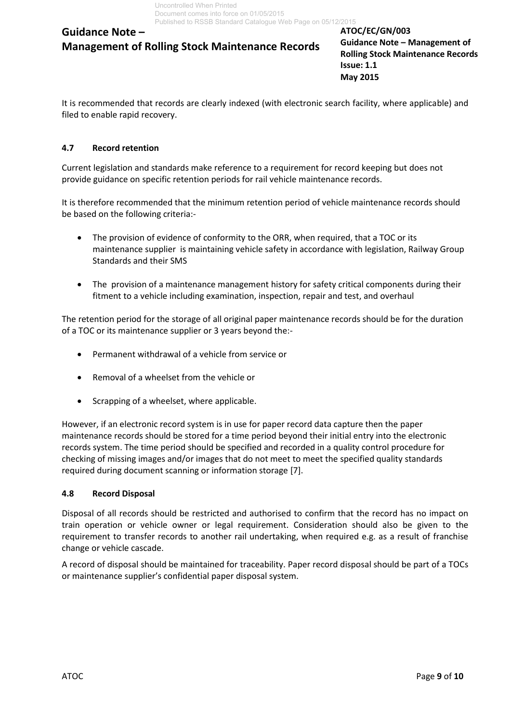**ATOC/EC/GN/003 Guidance Note – Management of Rolling Stock Maintenance Records Issue: 1.1 May 2015**

It is recommended that records are clearly indexed (with electronic search facility, where applicable) and filed to enable rapid recovery.

## **4.7 Record retention**

Current legislation and standards make reference to a requirement for record keeping but does not provide guidance on specific retention periods for rail vehicle maintenance records.

It is therefore recommended that the minimum retention period of vehicle maintenance records should be based on the following criteria:-

- The provision of evidence of conformity to the ORR, when required, that a TOC or its maintenance supplier is maintaining vehicle safety in accordance with legislation, Railway Group Standards and their SMS
- The provision of a maintenance management history for safety critical components during their fitment to a vehicle including examination, inspection, repair and test, and overhaul

The retention period for the storage of all original paper maintenance records should be for the duration of a TOC or its maintenance supplier or 3 years beyond the:-

- Permanent withdrawal of a vehicle from service or
- Removal of a wheelset from the vehicle or
- Scrapping of a wheelset, where applicable.

However, if an electronic record system is in use for paper record data capture then the paper maintenance records should be stored for a time period beyond their initial entry into the electronic records system. The time period should be specified and recorded in a quality control procedure for checking of missing images and/or images that do not meet to meet the specified quality standards required during document scanning or information storage [7].

### **4.8 Record Disposal**

Disposal of all records should be restricted and authorised to confirm that the record has no impact on train operation or vehicle owner or legal requirement. Consideration should also be given to the requirement to transfer records to another rail undertaking, when required e.g. as a result of franchise change or vehicle cascade.

A record of disposal should be maintained for traceability. Paper record disposal should be part of a TOCs or maintenance supplier's confidential paper disposal system.